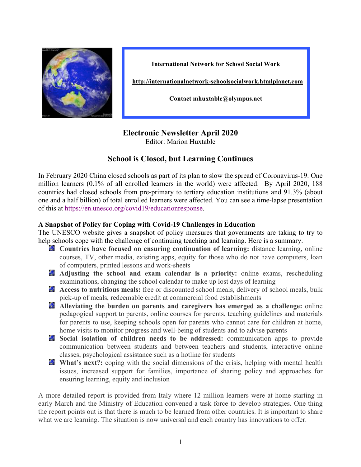

**International Network for School Social Work**

**http://internationalnetwork-schoolsocialwork.htmlplanet.com**

**Contact mhuxtable@olympus.net**

# **Electronic Newsletter April 2020**

Editor: Marion Huxtable

# **School is Closed, but Learning Continues**

In February 2020 China closed schools as part of its plan to slow the spread of Coronavirus-19. One million learners (0.1% of all enrolled learners in the world) were affected. By April 2020, 188 countries had closed schools from pre-primary to tertiary education institutions and 91.3% (about one and a half billion) of total enrolled learners were affected. You can see a time-lapse presentation of this at https://en.unesco.org/covid19/educationresponse.

## **A Snapshot of Policy for Coping with Covid-19 Challenges in Education**

The UNESCO website gives a snapshot of policy measures that governments are taking to try to help schools cope with the challenge of continuing teaching and learning. Here is a summary.

- **Countries have focused on ensuring continuation of learning:** distance learning, online courses, TV, other media, existing apps, equity for those who do not have computers, loan of computers, printed lessons and work-sheets
- **Adjusting the school and exam calendar is a priority:** online exams, rescheduling examinations, changing the school calendar to make up lost days of learning
- **Access to nutritious meals:** free or discounted school meals, delivery of school meals, bulk pick-up of meals, redeemable credit at commercial food establishments
- **Alleviating the burden on parents and caregivers has emerged as a challenge:** online pedagogical support to parents, online courses for parents, teaching guidelines and materials for parents to use, keeping schools open for parents who cannot care for children at home, home visits to monitor progress and well-being of students and to advise parents
- **Social isolation of children needs to be addressed:** communication apps to provide communication between students and between teachers and students, interactive online classes, psychological assistance such as a hotline for students
- **What's next?:** coping with the social dimensions of the crisis, helping with mental health issues, increased support for families, importance of sharing policy and approaches for ensuring learning, equity and inclusion

A more detailed report is provided from Italy where 12 million learners were at home starting in early March and the Ministry of Education convened a task force to develop strategies. One thing the report points out is that there is much to be learned from other countries. It is important to share what we are learning. The situation is now universal and each country has innovations to offer.